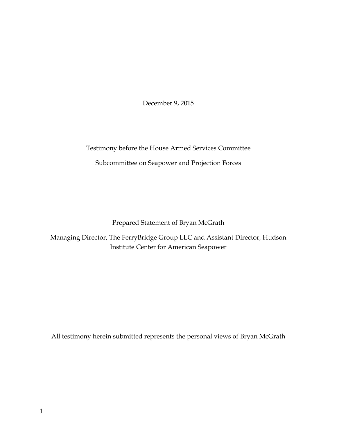December 9, 2015

Testimony before the House Armed Services Committee Subcommittee on Seapower and Projection Forces

Prepared Statement of Bryan McGrath

Managing Director, The FerryBridge Group LLC and Assistant Director, Hudson Institute Center for American Seapower

All testimony herein submitted represents the personal views of Bryan McGrath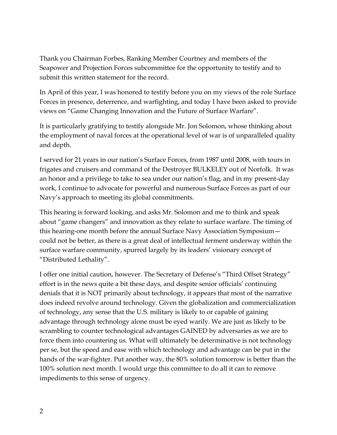Thank you Chairman Forbes, Ranking Member Courtney and members of the Seapower and Projection Forces subcommittee for the opportunity to testify and to submit this written statement for the record.

In April of this year, I was honored to testify before you on my views of the role Surface Forces in presence, deterrence, and warfighting, and today I have been asked to provide views on "Game Changing Innovation and the Future of Surface Warfare".

It is particularly gratifying to testify alongside Mr. Jon Solomon, whose thinking about the employment of naval forces at the operational level of war is of unparalleled quality and depth.

I served for 21 years in our nation's Surface Forces, from 1987 until 2008, with tours in frigates and cruisers and command of the Destroyer BULKELEY out of Norfolk. It was an honor and a privilege to take to sea under our nation's flag, and in my present-day work, I continue to advocate for powerful and numerous Surface Forces as part of our Navy's approach to meeting its global commitments.

This hearing is forward looking, and asks Mr. Solomon and me to think and speak about "game changers" and innovation as they relate to surface warfare. The timing of this hearing-one month before the annual Surface Navy Association Symposium could not be better, as there is a great deal of intellectual ferment underway within the surface warfare community, spurred largely by its leaders' visionary concept of "Distributed Lethality".

I offer one initial caution, however. The Secretary of Defense's "Third Offset Strategy" effort is in the news quite a bit these days, and despite senior officials' continuing denials that it is NOT primarily about technology, it appears that most of the narrative does indeed revolve around technology. Given the globalization and commercialization of technology, any sense that the U.S. military is likely to or capable of gaining advantage through technology alone must be eyed warily. We are just as likely to be scrambling to counter technological advantages GAINED by adversaries as we are to force them into countering us. What will ultimately be determinative is not technology per se, but the speed and ease with which technology and advantage can be put in the hands of the war-fighter. Put another way, the 80% solution tomorrow is better than the 100% solution next month. I would urge this committee to do all it can to remove impediments to this sense of urgency.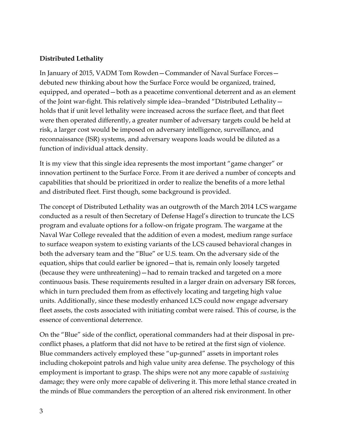#### **Distributed Lethality**

In January of 2015, VADM Tom Rowden—Commander of Naval Surface Forces debuted new thinking about how the Surface Force would be organized, trained, equipped, and operated—both as a peacetime conventional deterrent and as an element of the Joint war-fight. This relatively simple idea--branded "Distributed Lethality holds that if unit level lethality were increased across the surface fleet, and that fleet were then operated differently, a greater number of adversary targets could be held at risk, a larger cost would be imposed on adversary intelligence, surveillance, and reconnaissance (ISR) systems, and adversary weapons loads would be diluted as a function of individual attack density.

It is my view that this single idea represents the most important "game changer" or innovation pertinent to the Surface Force. From it are derived a number of concepts and capabilities that should be prioritized in order to realize the benefits of a more lethal and distributed fleet. First though, some background is provided.

The concept of Distributed Lethality was an outgrowth of the March 2014 LCS wargame conducted as a result of then Secretary of Defense Hagel's direction to truncate the LCS program and evaluate options for a follow-on frigate program. The wargame at the Naval War College revealed that the addition of even a modest, medium range surface to surface weapon system to existing variants of the LCS caused behavioral changes in both the adversary team and the "Blue" or U.S. team. On the adversary side of the equation, ships that could earlier be ignored—that is, remain only loosely targeted (because they were unthreatening)—had to remain tracked and targeted on a more continuous basis. These requirements resulted in a larger drain on adversary ISR forces, which in turn precluded them from as effectively locating and targeting high value units. Additionally, since these modestly enhanced LCS could now engage adversary fleet assets, the costs associated with initiating combat were raised. This of course, is the essence of conventional deterrence.

On the "Blue" side of the conflict, operational commanders had at their disposal in preconflict phases, a platform that did not have to be retired at the first sign of violence. Blue commanders actively employed these "up-gunned" assets in important roles including chokepoint patrols and high value unity area defense. The psychology of this employment is important to grasp. The ships were not any more capable of *sustaining* damage; they were only more capable of delivering it. This more lethal stance created in the minds of Blue commanders the perception of an altered risk environment. In other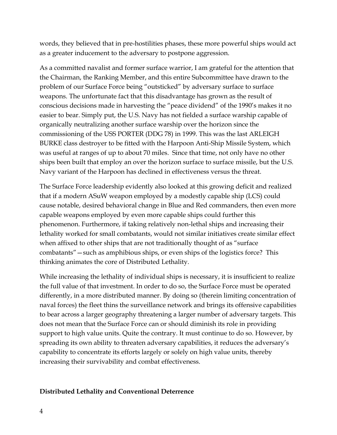words, they believed that in pre-hostilities phases, these more powerful ships would act as a greater inducement to the adversary to postpone aggression.

As a committed navalist and former surface warrior, I am grateful for the attention that the Chairman, the Ranking Member, and this entire Subcommittee have drawn to the problem of our Surface Force being "outsticked" by adversary surface to surface weapons. The unfortunate fact that this disadvantage has grown as the result of conscious decisions made in harvesting the "peace dividend" of the 1990's makes it no easier to bear. Simply put, the U.S. Navy has not fielded a surface warship capable of organically neutralizing another surface warship over the horizon since the commissioning of the USS PORTER (DDG 78) in 1999. This was the last ARLEIGH BURKE class destroyer to be fitted with the Harpoon Anti-Ship Missile System, which was useful at ranges of up to about 70 miles. Since that time, not only have no other ships been built that employ an over the horizon surface to surface missile, but the U.S. Navy variant of the Harpoon has declined in effectiveness versus the threat.

The Surface Force leadership evidently also looked at this growing deficit and realized that if a modern ASuW weapon employed by a modestly capable ship (LCS) could cause notable, desired behavioral change in Blue and Red commanders, then even more capable weapons employed by even more capable ships could further this phenomenon. Furthermore, if taking relatively non-lethal ships and increasing their lethality worked for small combatants, would not similar initiatives create similar effect when affixed to other ships that are not traditionally thought of as "surface combatants"—such as amphibious ships, or even ships of the logistics force? This thinking animates the core of Distributed Lethality.

While increasing the lethality of individual ships is necessary, it is insufficient to realize the full value of that investment. In order to do so, the Surface Force must be operated differently, in a more distributed manner. By doing so (therein limiting concentration of naval forces) the fleet thins the surveillance network and brings its offensive capabilities to bear across a larger geography threatening a larger number of adversary targets. This does not mean that the Surface Force can or should diminish its role in providing support to high value units. Quite the contrary. It must continue to do so. However, by spreading its own ability to threaten adversary capabilities, it reduces the adversary's capability to concentrate its efforts largely or solely on high value units, thereby increasing their survivability and combat effectiveness.

### **Distributed Lethality and Conventional Deterrence**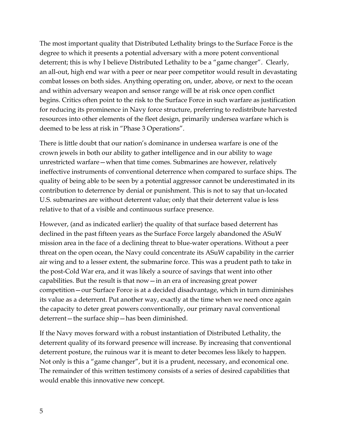The most important quality that Distributed Lethality brings to the Surface Force is the degree to which it presents a potential adversary with a more potent conventional deterrent; this is why I believe Distributed Lethality to be a "game changer". Clearly, an all-out, high end war with a peer or near peer competitor would result in devastating combat losses on both sides. Anything operating on, under, above, or next to the ocean and within adversary weapon and sensor range will be at risk once open conflict begins. Critics often point to the risk to the Surface Force in such warfare as justification for reducing its prominence in Navy force structure, preferring to redistribute harvested resources into other elements of the fleet design, primarily undersea warfare which is deemed to be less at risk in "Phase 3 Operations".

There is little doubt that our nation's dominance in undersea warfare is one of the crown jewels in both our ability to gather intelligence and in our ability to wage unrestricted warfare—when that time comes. Submarines are however, relatively ineffective instruments of conventional deterrence when compared to surface ships. The quality of being able to be seen by a potential aggressor cannot be underestimated in its contribution to deterrence by denial or punishment. This is not to say that un-located U.S. submarines are without deterrent value; only that their deterrent value is less relative to that of a visible and continuous surface presence.

However, (and as indicated earlier) the quality of that surface based deterrent has declined in the past fifteen years as the Surface Force largely abandoned the ASuW mission area in the face of a declining threat to blue-water operations. Without a peer threat on the open ocean, the Navy could concentrate its ASuW capability in the carrier air wing and to a lesser extent, the submarine force. This was a prudent path to take in the post-Cold War era, and it was likely a source of savings that went into other capabilities. But the result is that now—in an era of increasing great power competition—our Surface Force is at a decided disadvantage, which in turn diminishes its value as a deterrent. Put another way, exactly at the time when we need once again the capacity to deter great powers conventionally, our primary naval conventional deterrent—the surface ship—has been diminished.

If the Navy moves forward with a robust instantiation of Distributed Lethality, the deterrent quality of its forward presence will increase. By increasing that conventional deterrent posture, the ruinous war it is meant to deter becomes less likely to happen. Not only is this a "game changer", but it is a prudent, necessary, and economical one. The remainder of this written testimony consists of a series of desired capabilities that would enable this innovative new concept.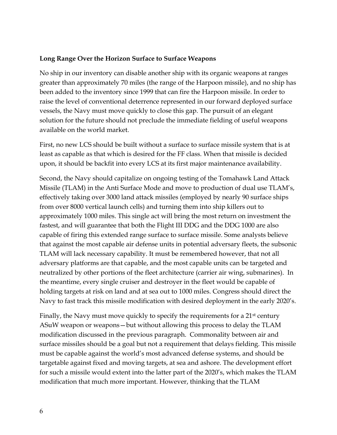#### **Long Range Over the Horizon Surface to Surface Weapons**

No ship in our inventory can disable another ship with its organic weapons at ranges greater than approximately 70 miles (the range of the Harpoon missile), and no ship has been added to the inventory since 1999 that can fire the Harpoon missile. In order to raise the level of conventional deterrence represented in our forward deployed surface vessels, the Navy must move quickly to close this gap. The pursuit of an elegant solution for the future should not preclude the immediate fielding of useful weapons available on the world market.

First, no new LCS should be built without a surface to surface missile system that is at least as capable as that which is desired for the FF class. When that missile is decided upon, it should be backfit into every LCS at its first major maintenance availability.

Second, the Navy should capitalize on ongoing testing of the Tomahawk Land Attack Missile (TLAM) in the Anti Surface Mode and move to production of dual use TLAM's, effectively taking over 3000 land attack missiles (employed by nearly 90 surface ships from over 8000 vertical launch cells) and turning them into ship killers out to approximately 1000 miles. This single act will bring the most return on investment the fastest, and will guarantee that both the Flight III DDG and the DDG 1000 are also capable of firing this extended range surface to surface missile. Some analysts believe that against the most capable air defense units in potential adversary fleets, the subsonic TLAM will lack necessary capability. It must be remembered however, that not all adversary platforms are that capable, and the most capable units can be targeted and neutralized by other portions of the fleet architecture (carrier air wing, submarines). In the meantime, every single cruiser and destroyer in the fleet would be capable of holding targets at risk on land and at sea out to 1000 miles. Congress should direct the Navy to fast track this missile modification with desired deployment in the early 2020's.

Finally, the Navy must move quickly to specify the requirements for a 21<sup>st</sup> century ASuW weapon or weapons—but without allowing this process to delay the TLAM modification discussed in the previous paragraph. Commonality between air and surface missiles should be a goal but not a requirement that delays fielding. This missile must be capable against the world's most advanced defense systems, and should be targetable against fixed and moving targets, at sea and ashore. The development effort for such a missile would extent into the latter part of the 2020's, which makes the TLAM modification that much more important. However, thinking that the TLAM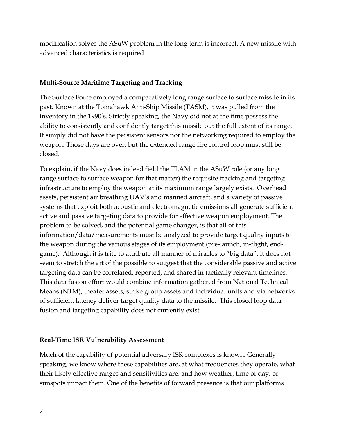modification solves the ASuW problem in the long term is incorrect. A new missile with advanced characteristics is required.

### **Multi-Source Maritime Targeting and Tracking**

The Surface Force employed a comparatively long range surface to surface missile in its past. Known at the Tomahawk Anti-Ship Missile (TASM), it was pulled from the inventory in the 1990's. Strictly speaking, the Navy did not at the time possess the ability to consistently and confidently target this missile out the full extent of its range. It simply did not have the persistent sensors nor the networking required to employ the weapon. Those days are over, but the extended range fire control loop must still be closed.

To explain, if the Navy does indeed field the TLAM in the ASuW role (or any long range surface to surface weapon for that matter) the requisite tracking and targeting infrastructure to employ the weapon at its maximum range largely exists. Overhead assets, persistent air breathing UAV's and manned aircraft, and a variety of passive systems that exploit both acoustic and electromagnetic emissions all generate sufficient active and passive targeting data to provide for effective weapon employment. The problem to be solved, and the potential game changer, is that all of this information/data/measurements must be analyzed to provide target quality inputs to the weapon during the various stages of its employment (pre-launch, in-flight, endgame). Although it is trite to attribute all manner of miracles to "big data", it does not seem to stretch the art of the possible to suggest that the considerable passive and active targeting data can be correlated, reported, and shared in tactically relevant timelines. This data fusion effort would combine information gathered from National Technical Means (NTM), theater assets, strike group assets and individual units and via networks of sufficient latency deliver target quality data to the missile. This closed loop data fusion and targeting capability does not currently exist.

### **Real-Time ISR Vulnerability Assessment**

Much of the capability of potential adversary ISR complexes is known. Generally speaking, we know where these capabilities are, at what frequencies they operate, what their likely effective ranges and sensitivities are, and how weather, time of day, or sunspots impact them. One of the benefits of forward presence is that our platforms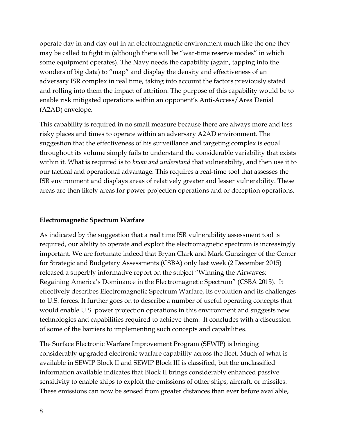operate day in and day out in an electromagnetic environment much like the one they may be called to fight in (although there will be "war-time reserve modes" in which some equipment operates). The Navy needs the capability (again, tapping into the wonders of big data) to "map" and display the density and effectiveness of an adversary ISR complex in real time, taking into account the factors previously stated and rolling into them the impact of attrition. The purpose of this capability would be to enable risk mitigated operations within an opponent's Anti-Access/Area Denial (A2AD) envelope.

This capability is required in no small measure because there are always more and less risky places and times to operate within an adversary A2AD environment. The suggestion that the effectiveness of his surveillance and targeting complex is equal throughout its volume simply fails to understand the considerable variability that exists within it. What is required is to *know and understand* that vulnerability, and then use it to our tactical and operational advantage. This requires a real-time tool that assesses the ISR environment and displays areas of relatively greater and lesser vulnerability. These areas are then likely areas for power projection operations and or deception operations.

### **Electromagnetic Spectrum Warfare**

As indicated by the suggestion that a real time ISR vulnerability assessment tool is required, our ability to operate and exploit the electromagnetic spectrum is increasingly important. We are fortunate indeed that Bryan Clark and Mark Gunzinger of the Center for Strategic and Budgetary Assessments (CSBA) only last week (2 December 2015) released a superbly informative report on the subject "Winning the Airwaves: Regaining America's Dominance in the Electromagnetic Spectrum" (CSBA 2015). It effectively describes Electromagnetic Spectrum Warfare, its evolution and its challenges to U.S. forces. It further goes on to describe a number of useful operating concepts that would enable U.S. power projection operations in this environment and suggests new technologies and capabilities required to achieve them. It concludes with a discussion of some of the barriers to implementing such concepts and capabilities.

The Surface Electronic Warfare Improvement Program (SEWIP) is bringing considerably upgraded electronic warfare capability across the fleet. Much of what is available in SEWIP Block II and SEWIP Block III is classified, but the unclassified information available indicates that Block II brings considerably enhanced passive sensitivity to enable ships to exploit the emissions of other ships, aircraft, or missiles. These emissions can now be sensed from greater distances than ever before available,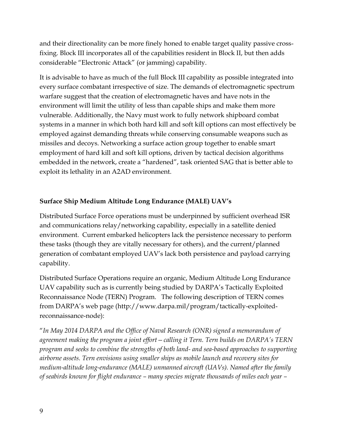and their directionality can be more finely honed to enable target quality passive crossfixing. Block III incorporates all of the capabilities resident in Block II, but then adds considerable "Electronic Attack" (or jamming) capability.

It is advisable to have as much of the full Block III capability as possible integrated into every surface combatant irrespective of size. The demands of electromagnetic spectrum warfare suggest that the creation of electromagnetic haves and have nots in the environment will limit the utility of less than capable ships and make them more vulnerable. Additionally, the Navy must work to fully network shipboard combat systems in a manner in which both hard kill and soft kill options can most effectively be employed against demanding threats while conserving consumable weapons such as missiles and decoys. Networking a surface action group together to enable smart employment of hard kill and soft kill options, driven by tactical decision algorithms embedded in the network, create a "hardened", task oriented SAG that is better able to exploit its lethality in an A2AD environment.

# **Surface Ship Medium Altitude Long Endurance (MALE) UAV's**

Distributed Surface Force operations must be underpinned by sufficient overhead ISR and communications relay/networking capability, especially in a satellite denied environment. Current embarked helicopters lack the persistence necessary to perform these tasks (though they are vitally necessary for others), and the current/planned generation of combatant employed UAV's lack both persistence and payload carrying capability.

Distributed Surface Operations require an organic, Medium Altitude Long Endurance UAV capability such as is currently being studied by DARPA's Tactically Exploited Reconnaissance Node (TERN) Program. The following description of TERN comes from DARPA's web page (http://www.darpa.mil/program/tactically-exploitedreconnaissance-node):

"*In May 2014 DARPA and the Office of Naval Research (ONR) signed a memorandum of agreement making the program a joint effort—calling it Tern. Tern builds on DARPA's TERN program and seeks to combine the strengths of both land- and sea-based approaches to supporting airborne assets. Tern envisions using smaller ships as mobile launch and recovery sites for medium-altitude long-endurance (MALE) unmanned aircraft (UAVs). Named after the family of seabirds known for flight endurance – many species migrate thousands of miles each year –*